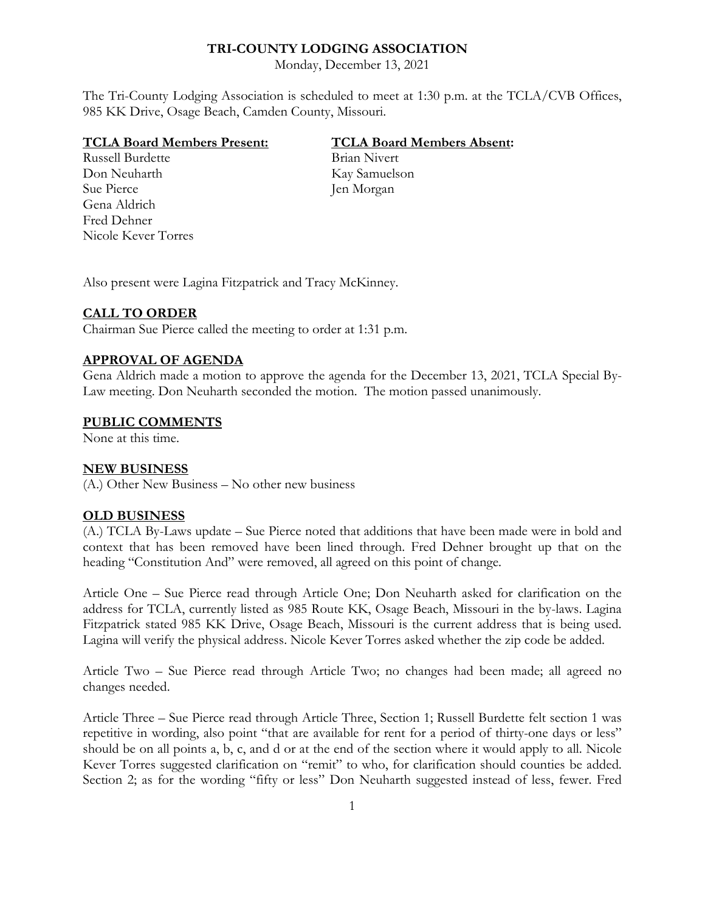# **TRI-COUNTY LODGING ASSOCIATION**

Monday, December 13, 2021

The Tri-County Lodging Association is scheduled to meet at 1:30 p.m. at the TCLA/CVB Offices, 985 KK Drive, Osage Beach, Camden County, Missouri.

### **TCLA Board Members Present: TCLA Board Members Absent:**

Russell Burdette Brian Nivert Don Neuharth Kay Samuelson Sue Pierce Jen Morgan Gena Aldrich Fred Dehner Nicole Kever Torres

Also present were Lagina Fitzpatrick and Tracy McKinney.

### **CALL TO ORDER**

Chairman Sue Pierce called the meeting to order at 1:31 p.m.

## **APPROVAL OF AGENDA**

Gena Aldrich made a motion to approve the agenda for the December 13, 2021, TCLA Special By-Law meeting. Don Neuharth seconded the motion. The motion passed unanimously.

### **PUBLIC COMMENTS**

None at this time.

## **NEW BUSINESS**

(A.) Other New Business – No other new business

# **OLD BUSINESS**

(A.) TCLA By-Laws update – Sue Pierce noted that additions that have been made were in bold and context that has been removed have been lined through. Fred Dehner brought up that on the heading "Constitution And" were removed, all agreed on this point of change.

Article One – Sue Pierce read through Article One; Don Neuharth asked for clarification on the address for TCLA, currently listed as 985 Route KK, Osage Beach, Missouri in the by-laws. Lagina Fitzpatrick stated 985 KK Drive, Osage Beach, Missouri is the current address that is being used. Lagina will verify the physical address. Nicole Kever Torres asked whether the zip code be added.

Article Two – Sue Pierce read through Article Two; no changes had been made; all agreed no changes needed.

Article Three – Sue Pierce read through Article Three, Section 1; Russell Burdette felt section 1 was repetitive in wording, also point "that are available for rent for a period of thirty-one days or less" should be on all points a, b, c, and d or at the end of the section where it would apply to all. Nicole Kever Torres suggested clarification on "remit" to who, for clarification should counties be added. Section 2; as for the wording "fifty or less" Don Neuharth suggested instead of less, fewer. Fred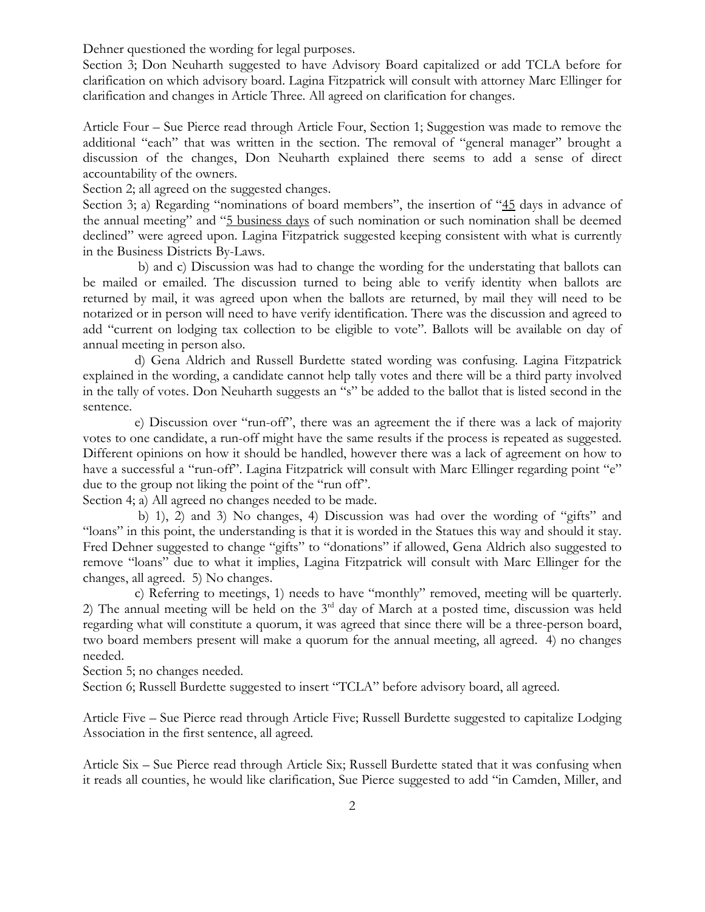Dehner questioned the wording for legal purposes.

Section 3; Don Neuharth suggested to have Advisory Board capitalized or add TCLA before for clarification on which advisory board. Lagina Fitzpatrick will consult with attorney Marc Ellinger for clarification and changes in Article Three. All agreed on clarification for changes.

Article Four – Sue Pierce read through Article Four, Section 1; Suggestion was made to remove the additional "each" that was written in the section. The removal of "general manager" brought a discussion of the changes, Don Neuharth explained there seems to add a sense of direct accountability of the owners.

Section 2; all agreed on the suggested changes.

Section 3; a) Regarding "nominations of board members", the insertion of "45 days in advance of the annual meeting" and "5 business days of such nomination or such nomination shall be deemed declined" were agreed upon. Lagina Fitzpatrick suggested keeping consistent with what is currently in the Business Districts By-Laws.

 b) and c) Discussion was had to change the wording for the understating that ballots can be mailed or emailed. The discussion turned to being able to verify identity when ballots are returned by mail, it was agreed upon when the ballots are returned, by mail they will need to be notarized or in person will need to have verify identification. There was the discussion and agreed to add "current on lodging tax collection to be eligible to vote". Ballots will be available on day of annual meeting in person also.

 d) Gena Aldrich and Russell Burdette stated wording was confusing. Lagina Fitzpatrick explained in the wording, a candidate cannot help tally votes and there will be a third party involved in the tally of votes. Don Neuharth suggests an "s" be added to the ballot that is listed second in the sentence.

 e) Discussion over "run-off", there was an agreement the if there was a lack of majority votes to one candidate, a run-off might have the same results if the process is repeated as suggested. Different opinions on how it should be handled, however there was a lack of agreement on how to have a successful a "run-off". Lagina Fitzpatrick will consult with Marc Ellinger regarding point "e" due to the group not liking the point of the "run off".

Section 4; a) All agreed no changes needed to be made.

 b) 1), 2) and 3) No changes, 4) Discussion was had over the wording of "gifts" and "loans" in this point, the understanding is that it is worded in the Statues this way and should it stay. Fred Dehner suggested to change "gifts" to "donations" if allowed, Gena Aldrich also suggested to remove "loans" due to what it implies, Lagina Fitzpatrick will consult with Marc Ellinger for the changes, all agreed. 5) No changes.

 c) Referring to meetings, 1) needs to have "monthly" removed, meeting will be quarterly. 2) The annual meeting will be held on the  $3<sup>rd</sup>$  day of March at a posted time, discussion was held regarding what will constitute a quorum, it was agreed that since there will be a three-person board, two board members present will make a quorum for the annual meeting, all agreed. 4) no changes needed.

Section 5; no changes needed.

Section 6; Russell Burdette suggested to insert "TCLA" before advisory board, all agreed.

Article Five – Sue Pierce read through Article Five; Russell Burdette suggested to capitalize Lodging Association in the first sentence, all agreed.

Article Six – Sue Pierce read through Article Six; Russell Burdette stated that it was confusing when it reads all counties, he would like clarification, Sue Pierce suggested to add "in Camden, Miller, and